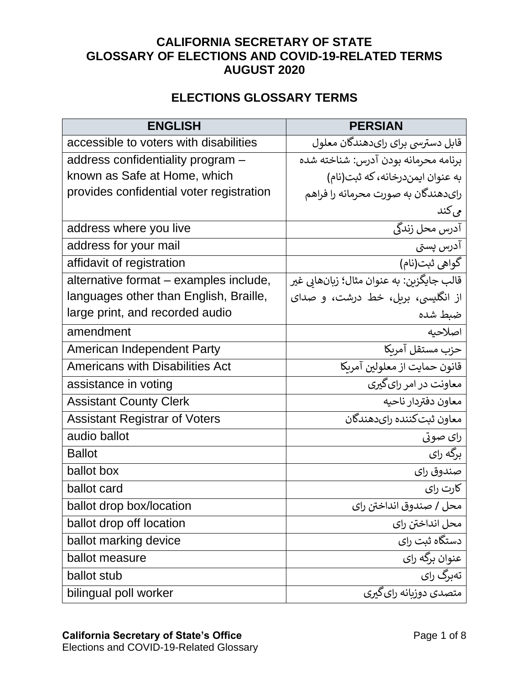## **CALIFORNIA SECRETARY OF STATE GLOSSARY OF ELECTIONS AND COVID-19-RELATED TERMS AUGUST 2020**

## **ELECTIONS GLOSSARY TERMS**

| <b>ENGLISH</b>                           | <b>PERSIAN</b>                            |
|------------------------------------------|-------------------------------------------|
| accessible to voters with disabilities   | قابل دسترسي براي رايدهندگان معلول         |
| address confidentiality program -        | برنامه محرمانه بودن آدرس: شناخته شده      |
| known as Safe at Home, which             | به عنوان ایمندرخانه، که ثبت(نام)          |
| provides confidential voter registration | رایدهندگان به صورت محرمانه را فراهم       |
|                                          | می کند                                    |
| address where you live                   | آدرس محل زندگی                            |
| address for your mail                    | آدرس پستی                                 |
| affidavit of registration                | گواهي ثبت(نام)                            |
| alternative format – examples include,   | قالب جايگزين: به عنوان مثال؛ زيانهايي غير |
| languages other than English, Braille,   | از انگلیسی، بریل، خط درشت، و صدای         |
| large print, and recorded audio          | ضبط شده                                   |
| amendment                                | اصلاحيه                                   |
| American Independent Party               | حزب مستقل آمريكا                          |
| <b>Americans with Disabilities Act</b>   | قانون حمايت از معلولين آمربكا             |
| assistance in voting                     | معاونت در امر رای گیری                    |
| <b>Assistant County Clerk</b>            | معاون دفتردار ناحيه                       |
| <b>Assistant Registrar of Voters</b>     | معاون ثبت كننده راىدهندگان                |
| audio ballot                             | رای صوتی                                  |
| <b>Ballot</b>                            | برگه رای                                  |
| ballot box                               | صندوق راي                                 |
| ballot card                              | کارت رای                                  |
| ballot drop box/location                 | محل / صندوق انداختن راي                   |
| ballot drop off location                 | محل انداختن راي                           |
| ballot marking device                    | دستگاه ثبت رای                            |
| ballot measure                           | عنوان برگه رای                            |
| ballot stub                              | تەبرگ راي                                 |
| bilingual poll worker                    | متصدی دوزیانه رای گیری                    |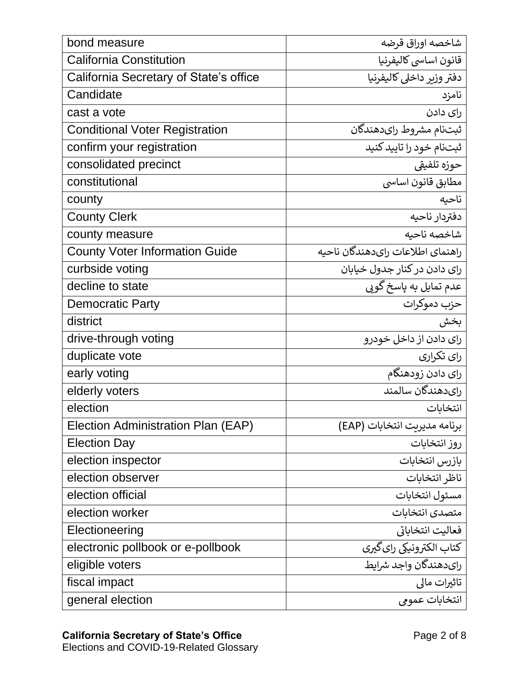| bond measure                           | شاخصه اوراق قرضه                 |
|----------------------------------------|----------------------------------|
| <b>California Constitution</b>         | قانون اساسي كاليفرنيا            |
| California Secretary of State's office | دفتر وزير داخلى كاليفرنيا        |
| Candidate                              | نامزد                            |
| cast a vote                            | رای دادن                         |
| <b>Conditional Voter Registration</b>  | ثبتنام مشروط راىدهندگان          |
| confirm your registration              | ثبتنام خود را تاييد كنيد         |
| consolidated precinct                  | حوزه تلفيقي                      |
| constitutional                         | مطابق قانون اساسي                |
| county                                 | ناحىه                            |
| <b>County Clerk</b>                    | دفتردار ناحيه                    |
| county measure                         | شاخصه ناحيه                      |
| <b>County Voter Information Guide</b>  | راهنماي اطلاعات رايدهندگان ناحيه |
| curbside voting                        | رای دادن در کنار جدول خیابان     |
| decline to state                       | عدم تمایل به پاسخ گویی           |
| <b>Democratic Party</b>                | حزب دموكرات                      |
| district                               | بخش                              |
| drive-through voting                   | رای دادن از داخل خودرو           |
| duplicate vote                         | رای تکرار <u>ی</u>               |
| early voting                           | رای دادن زودهنگام                |
| elderly voters                         | راي دهندگان سالمند               |
| election                               | انتخابات                         |
| Election Administration Plan (EAP)     | برنامه مديريت انتخابات (EAP)     |
| <b>Election Day</b>                    | روز انتخابات                     |
| election inspector                     | بازرس انتخابات                   |
| election observer                      | ناظر انتخابات                    |
| election official                      | مسئول انتخابات                   |
| election worker                        | متصدى انتخابات                   |
| Electioneering                         | فعاليت انتخاباتي                 |
| electronic pollbook or e-pollbook      | کتاب الکترونیکی رای <i>گیری</i>  |
| eligible voters                        | رايدهندگان واجد شرايط            |
| fiscal impact                          | تاثيرات مالي                     |
| general election                       | انتخابات عمومي                   |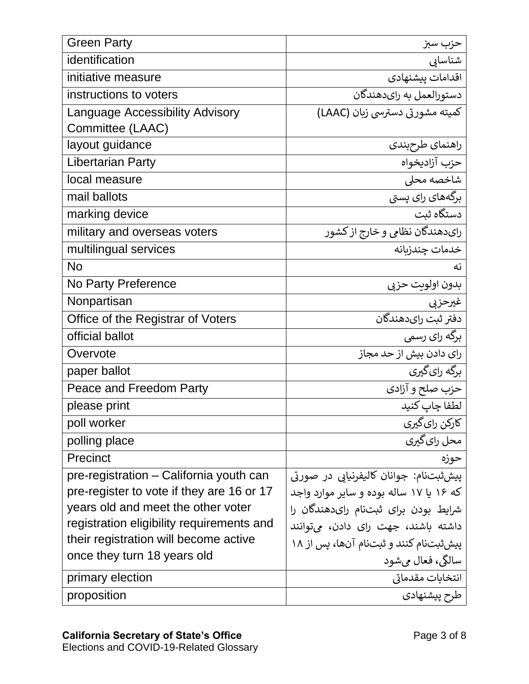| <b>Green Party</b>                        | حزب سبز                                 |
|-------------------------------------------|-----------------------------------------|
| identification                            | شناسابى                                 |
| initiative measure                        | اقدامات ييشنهادي                        |
| instructions to voters                    | دستورالعمل به راىدهندگان                |
| Language Accessibility Advisory           | کمیته مشورتی دسترسی زبان (LAAC)         |
| Committee (LAAC)                          |                                         |
| layout guidance                           | راهنمای طرحبندی                         |
| <b>Libertarian Party</b>                  | حزب آزاديخواه                           |
| local measure                             | شاخصه محلى                              |
| mail ballots                              | برگەھای رای پستی                        |
| marking device                            | دستگاه ثبت                              |
| military and overseas voters              | رایدهندگان نظامی و خارج از کشور         |
| multilingual services                     | خدمات چندزبانه                          |
| <b>No</b>                                 | نه                                      |
| No Party Preference                       | بدون اولويت حزبى                        |
| Nonpartisan                               | غيرحزبي                                 |
| Office of the Registrar of Voters         | دفتر ثبت راىدهندگان                     |
| official ballot                           | برگه رای رسمی                           |
| Overvote                                  | رای دادن بیش از حد مجاز                 |
| paper ballot                              | برگه رای گیری                           |
| Peace and Freedom Party                   | حزب صلح و آزادی                         |
| please print                              | لطفا چاپ کنید                           |
| poll worker                               | کارکن رای گیری                          |
| polling place                             | محل رای گیری                            |
| Precinct                                  | حوزه                                    |
| pre-registration - California youth can   | پيش ثبتنام: جوانان كاليفرنيايي در صورتي |
| pre-register to vote if they are 16 or 17 | که ۱۶ یا ۱۷ ساله بوده و سایر موارد واجد |
| years old and meet the other voter        | شرایط بودن برای ثبتنام رایدهندگان را    |
| registration eligibility requirements and | داشته باشند، جهت رای دادن، میتوانند     |
| their registration will become active     | ییش ثبتنام کنند و ثبتنام آنها، پس از ۱۸ |
| once they turn 18 years old               | سالگي، فعال ميشود                       |
| primary election                          | انتخابات مقدماتي                        |
| proposition                               | طرح پیشنهادی                            |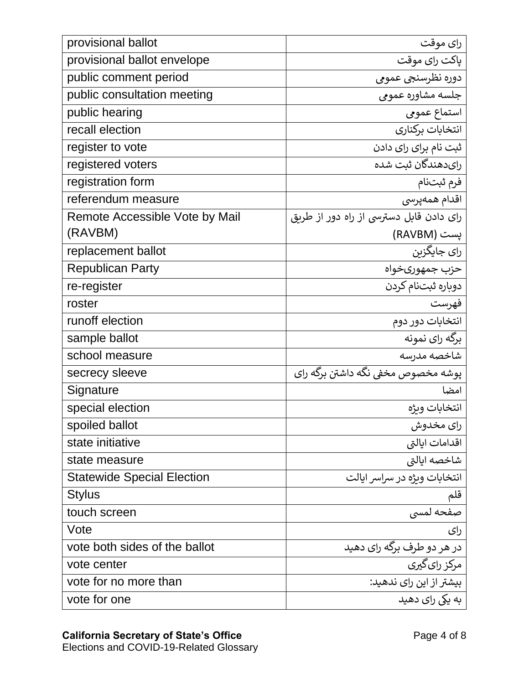| provisional ballot                | رای موقت                                |
|-----------------------------------|-----------------------------------------|
| provisional ballot envelope       | پاکت رای موقت                           |
| public comment period             | دوره نظرسنجي عمومي                      |
| public consultation meeting       | جلسه مشاوره عمومى                       |
| public hearing                    | استماع عمومى                            |
| recall election                   | انتخابات بركناري                        |
| register to vote                  | ثبت نام برای رای دادن                   |
| registered voters                 | راىدھندگان ثبت شده                      |
| registration form                 | فرم ثبتنام                              |
| referendum measure                | اقدام همەپرسى                           |
| Remote Accessible Vote by Mail    | رای دادن قابل دسترسی از راه دور از طربق |
| (RAVBM)                           | پست (RAVBM)                             |
| replacement ballot                | رای جایگزبن                             |
| <b>Republican Party</b>           | حزب جمهورىخواه                          |
| re-register                       | دوباره ثبتنام كردن                      |
| roster                            | فهرست                                   |
| runoff election                   | انتخابات دور دوم                        |
| sample ballot                     | برگه رای نمونه                          |
| school measure                    | شاخصه مدرسه                             |
| secrecy sleeve                    | يوشه مخصوص مخفي نگه داشتن برگه راي      |
| Signature                         | امضا                                    |
| special election                  | انتخابات ويژه                           |
| spoiled ballot                    | رای مخدوش                               |
| state initiative                  | اقدامات ايالتي                          |
| state measure                     | شاخصه ايالتى                            |
| <b>Statewide Special Election</b> | انتخابات ويژه در سراسر ايالت            |
| Stylus                            | قلم                                     |
| touch screen                      | صفحه لمسى                               |
| Vote                              | رای                                     |
| vote both sides of the ballot     | در هر دو طرف برگه رای دهید              |
| vote center                       | مرکز را <i>ی گیری</i>                   |
| vote for no more than             | بیشتر از این رای ندهید:                 |
| vote for one                      | به یکی رای دهید                         |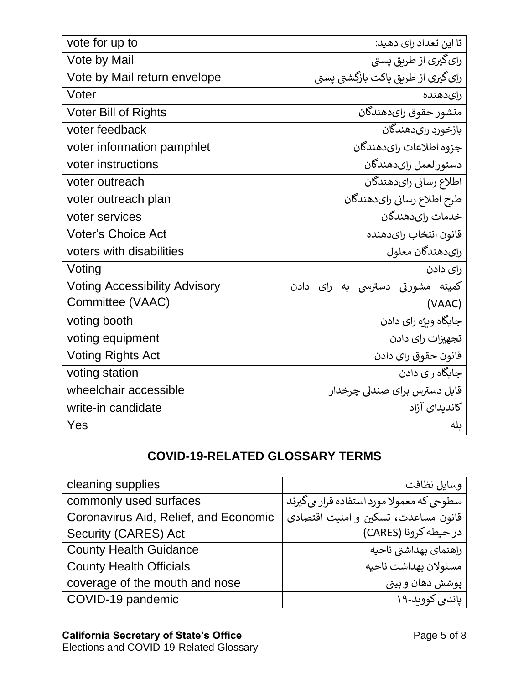| vote for up to                       | تا این تعداد رای دهید:             |
|--------------------------------------|------------------------------------|
| Vote by Mail                         | رای گیری از طریق پستی              |
| Vote by Mail return envelope         | رای گیری از طریق پاکت بازگشتی پستی |
| Voter                                | رایدهنده                           |
| <b>Voter Bill of Rights</b>          | منشور حقوق رايدهندگان              |
| voter feedback                       | بازخورد راىدهندگان                 |
| voter information pamphlet           | جزوه اطلاعات راىدهندگان            |
| voter instructions                   | دستورالعمل راىدهندگان              |
| voter outreach                       | اطلاع رساني راىدهندگان             |
| voter outreach plan                  | طرح اطلاع رسانى راىدهندگان         |
| voter services                       | خدمات رايدهندگان                   |
| <b>Voter's Choice Act</b>            | قانون انتخاب راىدهنده              |
| voters with disabilities             | رایدهندگان معلول                   |
| Voting                               | رای دادن                           |
| <b>Voting Accessibility Advisory</b> | کمیته مشورتی دسترسی به رای دادن    |
| Committee (VAAC)                     | (VAAC)                             |
| voting booth                         | جايگاه وىژه راي دادن               |
| voting equipment                     | تجهیزات رای دادن                   |
| <b>Voting Rights Act</b>             | قانون حقوق راى دادن                |
| voting station                       | جایگاه رای دادن                    |
| wheelchair accessible                | قابل دسترس برای صندلی چرخدار       |
| write-in candidate                   | كانديداي آزاد                      |
| Yes                                  | ىلە                                |

## **COVID-19-RELATED GLOSSARY TERMS**

| cleaning supplies                     | وسايل نظافت                                |
|---------------------------------------|--------------------------------------------|
| commonly used surfaces                | سطوحی که معمولا مورد استفاده قرار می گیرند |
| Coronavirus Aid, Relief, and Economic | قانون مساعدت، تسكين و امنيت اقتصادي        |
| Security (CARES) Act                  | در حيطه كرونا (CARES)                      |
| <b>County Health Guidance</b>         | راهنماي بهداشتي ناحيه                      |
| <b>County Health Officials</b>        | مسئولان بهداشت ناحيه                       |
| coverage of the mouth and nose        | يوشش دهان و بيني                           |
| COVID-19 pandemic                     | ياندمي كوويد-١٩                            |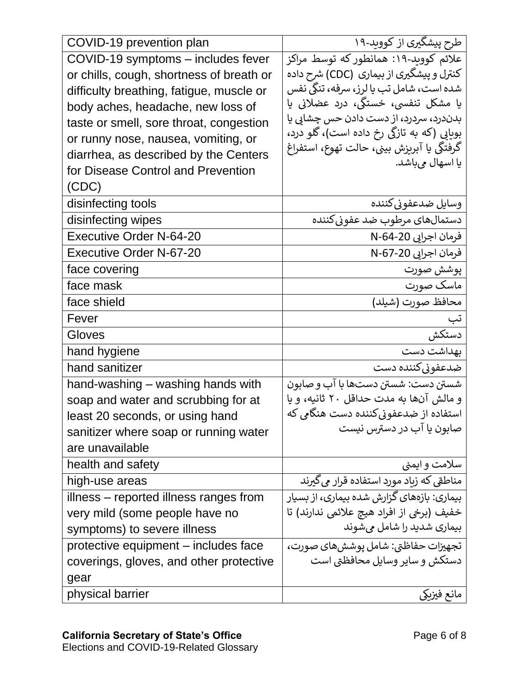| COVID-19 prevention plan                 | طرح پیشگیری از کووید-۱۹                    |
|------------------------------------------|--------------------------------------------|
| COVID-19 symptoms - includes fever       | علائم کووید-۱۹: همانطور که توسط مراکز      |
| or chills, cough, shortness of breath or | کنترل و پیشگیری از بیماری  (CDC) شرح داده  |
| difficulty breathing, fatigue, muscle or | شده است، شامل تب یا لرز، سرفه، تنگی نفس    |
| body aches, headache, new loss of        | یا مشکل تنفسی، خستگی، درد عضلانی یا        |
| taste or smell, sore throat, congestion  | بدندرد، سردرد، از دست دادن حس چشابی یا     |
| or runny nose, nausea, vomiting, or      | بوبایی (که به تازگی رخ داده است)، گلو درد، |
| diarrhea, as described by the Centers    | گرفتگی یا آبریزش بینی، حالت تهوع، استفراغ  |
| for Disease Control and Prevention       | يا اسهال ميباشد.                           |
| (CDC)                                    |                                            |
| disinfecting tools                       | وسايل ضدعفوني كننده                        |
| disinfecting wipes                       | دستمالهاي مرطوب ضد عفوني كننده             |
| <b>Executive Order N-64-20</b>           | فرمان اجرايي 20-64-N                       |
| <b>Executive Order N-67-20</b>           | فرمان اجرايي N-67-20                       |
| face covering                            | پوشش صورت                                  |
| face mask                                | ماسک صورت                                  |
| face shield                              | محافظ صورت (شيلد)                          |
| Fever                                    | تب                                         |
| Gloves                                   | دستكش                                      |
| hand hygiene                             | بهداشت دست                                 |
| hand sanitizer                           | ضدعفوني كننده دست                          |
| hand-washing – washing hands with        | شستن دست: شستن دستها با آب و صابون         |
| soap and water and scrubbing for at      | و مالش آنها به مدت حداقل ٢٠ ثانيه، و يا    |
| least 20 seconds, or using hand          | استفاده از ضدعفونیکننده دست هنگامی که      |
| sanitizer where soap or running water    | صابون یا آب در دسترس نیست                  |
| are unavailable                          |                                            |
| health and safety                        | سلامت و ایمنی                              |
| high-use areas                           | مناطقی که زیاد مورد استفاده قرار می گیرند  |
| illness – reported illness ranges from   | بیماری: بازههای گزارش شده بیماری، از بسیار |
| very mild (some people have no           | خفيف (برخي از افراد هيچ علائمي ندارند) تا  |
| symptoms) to severe illness              | بیماری شدید را شامل میشوند                 |
| protective equipment – includes face     | تجهيزات حفاظتي: شامل يوششهاي صورت،         |
| coverings, gloves, and other protective  | دستکش و سایر وسایل محافظتی است             |
| gear                                     |                                            |
| physical barrier                         | مانع فيزيكي                                |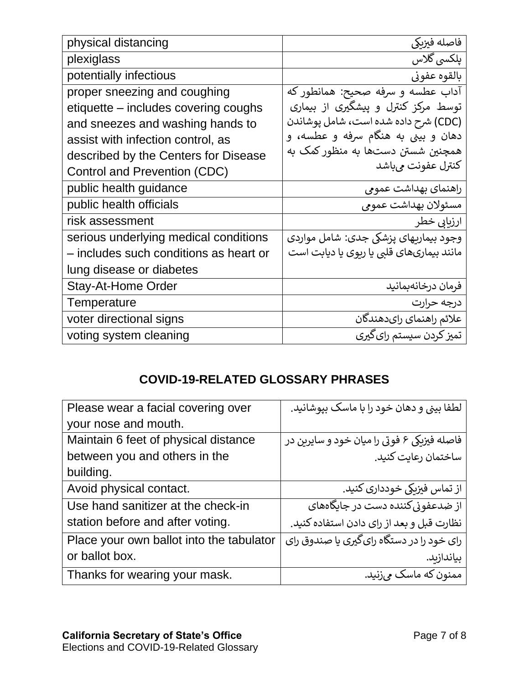| physical distancing                    | فاصله فيزبكي                              |
|----------------------------------------|-------------------------------------------|
| plexiglass                             | يلكسي گلاس                                |
| potentially infectious                 | بالقوه عفوني                              |
| proper sneezing and coughing           | آداب عطسه و سرفه صحیح: همانطور که         |
| etiquette – includes covering coughs   | توسط مرکز کنترل و پیشگیری از بیماری       |
| and sneezes and washing hands to       | (CDC) شرح داده شده است، شامل پوشاندن      |
| assist with infection control, as      | دهان و بینی به هنگام سرفه و عطسه، و       |
| described by the Centers for Disease   | همچنین شستن دستها به منظور کمک به         |
| Control and Prevention (CDC)           | كنترل عفونت مىباشد                        |
| public health guidance                 | راهنمای بهداشت عمومی                      |
| public health officials                | مسئولان بهداشت عمومي                      |
| risk assessment                        | ارزیابی خطر                               |
| serious underlying medical conditions  | وجود بيماريهاي پزشكي جدي: شامل مواردي     |
| - includes such conditions as heart or | مانند بیماریهای قلبی یا ریوی یا دیابت است |
| lung disease or diabetes               |                                           |
| <b>Stay-At-Home Order</b>              | فرمان درخانهبمانيد                        |
| Temperature                            | درجه حرارت                                |
| voter directional signs                | علائم راهنماي راىدهندگان                  |
| voting system cleaning                 | تمیز کردن سیستم رای گیری                  |

## **COVID-19-RELATED GLOSSARY PHRASES**

| Please wear a facial covering over       | لطفا بینی و دهان خود را با ماسک بیوشانید.   |
|------------------------------------------|---------------------------------------------|
| your nose and mouth.                     |                                             |
| Maintain 6 feet of physical distance     | فاصله فیزیکی ۶ فوتی را میان خود و سایرین در |
| between you and others in the            | ساختمان رعايت كنيد.                         |
| building.                                |                                             |
| Avoid physical contact.                  | از تماس فیزبکی خودداری کنید.                |
| Use hand sanitizer at the check-in       | از ضلاعفونی کنن <i>د</i> ه دست در جایگاههای |
| station before and after voting.         | نظارت قبل و بعد از رای دادن استفاده کنید.   |
| Place your own ballot into the tabulator | رای خود را در دستگاه رای گیری یا صندوق رای  |
| or ballot box.                           | بياندازبد.                                  |
| Thanks for wearing your mask.            | ممنون که ماسک میزنید.                       |